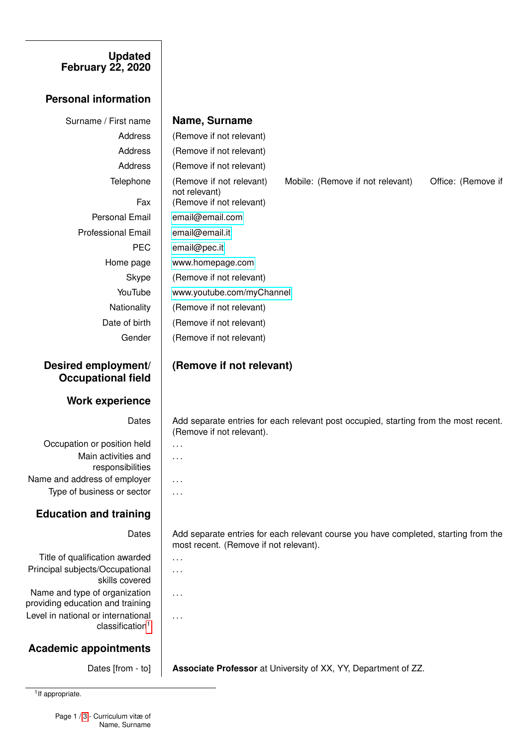#### **Updated February 22, 2020**

## **Personal information**

# Professional Email [email@email.it](mailto:email@email.it)

# **Desired employment/ Occupational field**

### **Work experience**

Occupation or position held  $\|\ldots\|$ Main activities and responsibilities Name and address of employer  $\|\ldots\|$ Type of business or sector  $\|\ldots\|$ 

# **Education and training**

Title of qualification awarded  $\|\ldots\|$ Principal subjects/Occupational skills covered Name and type of organization providing education and training Level in national or international classification<sup>[1](#page-0-0)</sup>

# **Academic appointments**

Surname / First name **Name, Surname**

Address | (Remove if not relevant) Address | (Remove if not relevant) Address | (Remove if not relevant) Telephone (Remove if not relevant) Mobile: (Remove if not relevant) Office: (Remove if not relevant) Fax | (Remove if not relevant) Personal Email | [email@email.com](mailto:email@gemail.com) PEC [email@pec.it](mailto:emailo@pec.it) Home page | <www.homepage.com> Skype | (Remove if not relevant) YouTube | <www.youtube.com/myChannel> Nationality (Remove if not relevant) Date of birth | (Remove if not relevant) Gender | (Remove if not relevant)

# **(Remove if not relevant)**

Dates | Add separate entries for each relevant post occupied, starting from the most recent. (Remove if not relevant).

. . .

. . .

. . .

. . .

Dates | Add separate entries for each relevant course you have completed, starting from the most recent. (Remove if not relevant).

Dates [from - to] **Associate Professor** at University of XX, YY, Department of ZZ.

<span id="page-0-0"></span><sup>1</sup> If appropriate.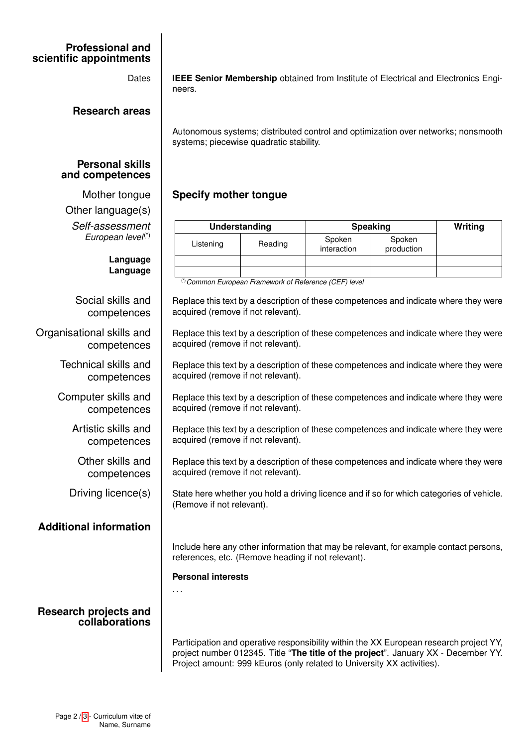### **Professional and scientific appointments**

**Research areas**

#### **Personal skills and competences**

Other language(s) *Self-assessment European level*(\*)

> **Language Language**

Social skills and competences

Organisational skills and competences

> Technical skills and competences

Computer skills and competences

> Artistic skills and competences

Other skills and competences

# **Additional information**

### **Research projects and collaborations**

Dates **IEEE Senior Membership** obtained from Institute of Electrical and Electronics Engineers.

> Autonomous systems; distributed control and optimization over networks; nonsmooth systems; piecewise quadratic stability.

# Mother tongue **Specify mother tongue**

| Understanding |         | Speaking              |                      | Writing |
|---------------|---------|-----------------------|----------------------|---------|
| Listening     | Reading | Spoken<br>interaction | Spoken<br>production |         |
|               |         |                       |                      |         |
| (4)           |         |                       |                      |         |

(\*)*Common European Framework of Reference (CEF) level*

Replace this text by a description of these competences and indicate where they were acquired (remove if not relevant).

Replace this text by a description of these competences and indicate where they were acquired (remove if not relevant).

Replace this text by a description of these competences and indicate where they were acquired (remove if not relevant).

Replace this text by a description of these competences and indicate where they were acquired (remove if not relevant).

Replace this text by a description of these competences and indicate where they were acquired (remove if not relevant).

Replace this text by a description of these competences and indicate where they were acquired (remove if not relevant).

Driving licence(s)  $\parallel$  State here whether you hold a driving licence and if so for which categories of vehicle. (Remove if not relevant).

> Include here any other information that may be relevant, for example contact persons, references, etc. (Remove heading if not relevant).

#### **Personal interests**

. . .

Participation and operative responsibility within the XX European research project YY, project number 012345. Title "**The title of the project**". January XX - December YY. Project amount: 999 kEuros (only related to University XX activities).